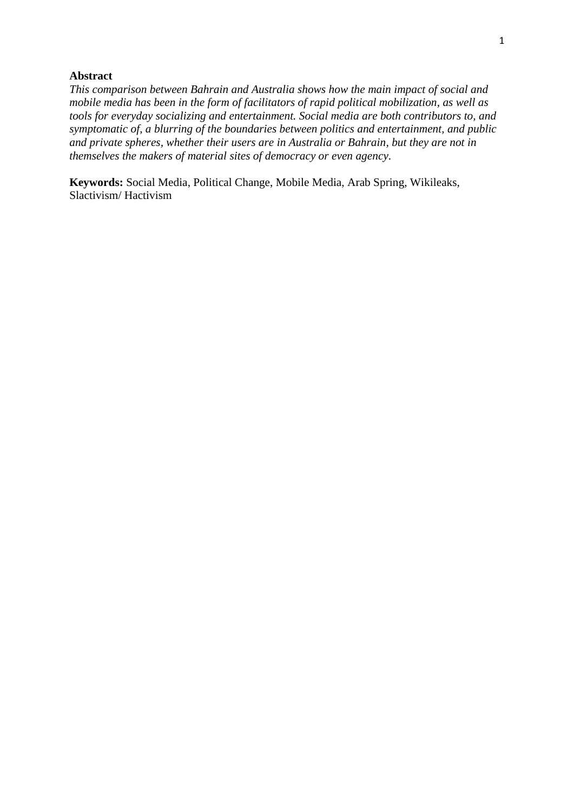# **Abstract**

*This comparison between Bahrain and Australia shows how the main impact of social and mobile media has been in the form of facilitators of rapid political mobilization, as well as tools for everyday socializing and entertainment. Social media are both contributors to, and symptomatic of, a blurring of the boundaries between politics and entertainment, and public and private spheres, whether their users are in Australia or Bahrain, but they are not in themselves the makers of material sites of democracy or even agency.*

**Keywords:** Social Media, Political Change, Mobile Media, Arab Spring, Wikileaks, Slactivism/ Hactivism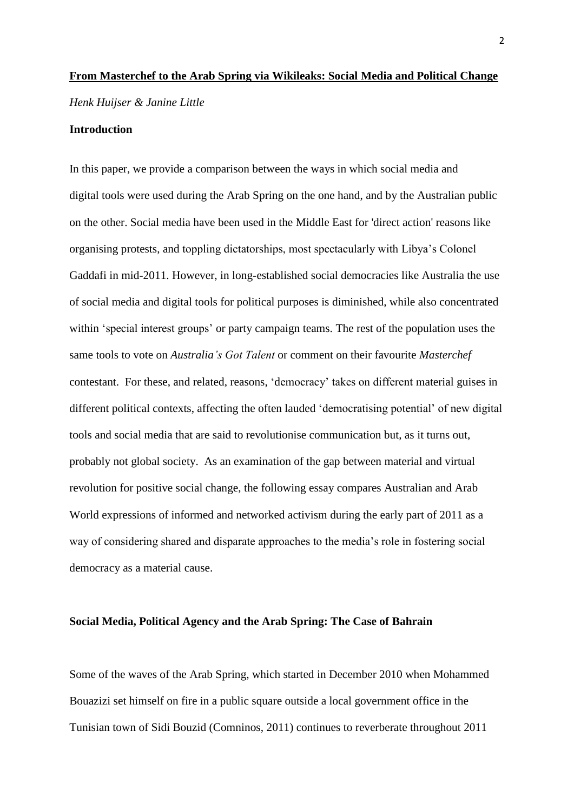# **From Masterchef to the Arab Spring via Wikileaks: Social Media and Political Change** *Henk Huijser & Janine Little*

## **Introduction**

In this paper, we provide a comparison between the ways in which social media and digital tools were used during the Arab Spring on the one hand, and by the Australian public on the other. Social media have been used in the Middle East for 'direct action' reasons like organising protests, and toppling dictatorships, most spectacularly with Libya"s Colonel Gaddafi in mid-2011. However, in long-established social democracies like Australia the use of social media and digital tools for political purposes is diminished, while also concentrated within 'special interest groups' or party campaign teams. The rest of the population uses the same tools to vote on *Australia's Got Talent* or comment on their favourite *Masterchef* contestant. For these, and related, reasons, "democracy" takes on different material guises in different political contexts, affecting the often lauded "democratising potential" of new digital tools and social media that are said to revolutionise communication but, as it turns out, probably not global society. As an examination of the gap between material and virtual revolution for positive social change, the following essay compares Australian and Arab World expressions of informed and networked activism during the early part of 2011 as a way of considering shared and disparate approaches to the media's role in fostering social democracy as a material cause.

#### **Social Media, Political Agency and the Arab Spring: The Case of Bahrain**

Some of the waves of the Arab Spring, which started in December 2010 when Mohammed Bouazizi set himself on fire in a public square outside a local government office in the Tunisian town of Sidi Bouzid (Comninos, 2011) continues to reverberate throughout 2011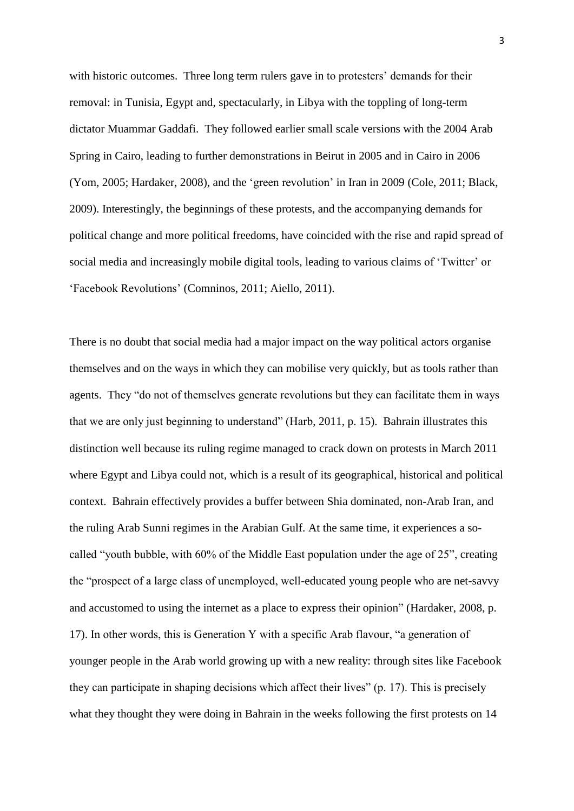with historic outcomes. Three long term rulers gave in to protesters' demands for their removal: in Tunisia, Egypt and, spectacularly, in Libya with the toppling of long-term dictator Muammar Gaddafi. They followed earlier small scale versions with the 2004 Arab Spring in Cairo, leading to further demonstrations in Beirut in 2005 and in Cairo in 2006 (Yom, 2005; Hardaker, 2008), and the "green revolution" in Iran in 2009 (Cole, 2011; Black, 2009). Interestingly, the beginnings of these protests, and the accompanying demands for political change and more political freedoms, have coincided with the rise and rapid spread of social media and increasingly mobile digital tools, leading to various claims of 'Twitter' or "Facebook Revolutions" (Comninos, 2011; Aiello, 2011).

There is no doubt that social media had a major impact on the way political actors organise themselves and on the ways in which they can mobilise very quickly, but as tools rather than agents. They "do not of themselves generate revolutions but they can facilitate them in ways that we are only just beginning to understand" (Harb, 2011, p. 15). Bahrain illustrates this distinction well because its ruling regime managed to crack down on protests in March 2011 where Egypt and Libya could not, which is a result of its geographical, historical and political context. Bahrain effectively provides a buffer between Shia dominated, non-Arab Iran, and the ruling Arab Sunni regimes in the Arabian Gulf. At the same time, it experiences a socalled "youth bubble, with 60% of the Middle East population under the age of 25", creating the "prospect of a large class of unemployed, well-educated young people who are net-savvy and accustomed to using the internet as a place to express their opinion" (Hardaker, 2008, p. 17). In other words, this is Generation Y with a specific Arab flavour, "a generation of younger people in the Arab world growing up with a new reality: through sites like Facebook they can participate in shaping decisions which affect their lives" (p. 17). This is precisely what they thought they were doing in Bahrain in the weeks following the first protests on 14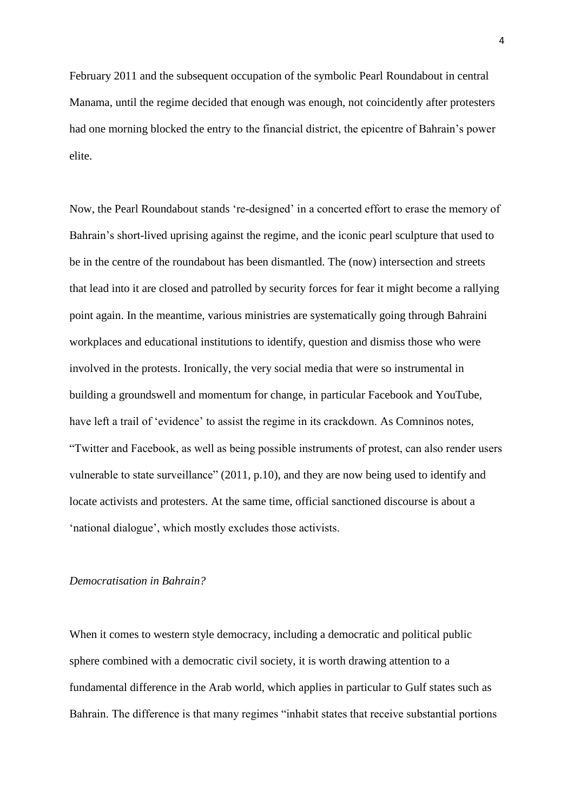February 2011 and the subsequent occupation of the symbolic Pearl Roundabout in central Manama, until the regime decided that enough was enough, not coincidently after protesters had one morning blocked the entry to the financial district, the epicentre of Bahrain"s power elite.

Now, the Pearl Roundabout stands "re-designed" in a concerted effort to erase the memory of Bahrain's short-lived uprising against the regime, and the iconic pearl sculpture that used to be in the centre of the roundabout has been dismantled. The (now) intersection and streets that lead into it are closed and patrolled by security forces for fear it might become a rallying point again. In the meantime, various ministries are systematically going through Bahraini workplaces and educational institutions to identify, question and dismiss those who were involved in the protests. Ironically, the very social media that were so instrumental in building a groundswell and momentum for change, in particular Facebook and YouTube, have left a trail of 'evidence' to assist the regime in its crackdown. As Comninos notes, "Twitter and Facebook, as well as being possible instruments of protest, can also render users vulnerable to state surveillance" (2011, p.10), and they are now being used to identify and locate activists and protesters. At the same time, official sanctioned discourse is about a 'national dialogue', which mostly excludes those activists.

#### *Democratisation in Bahrain?*

When it comes to western style democracy, including a democratic and political public sphere combined with a democratic civil society, it is worth drawing attention to a fundamental difference in the Arab world, which applies in particular to Gulf states such as Bahrain. The difference is that many regimes "inhabit states that receive substantial portions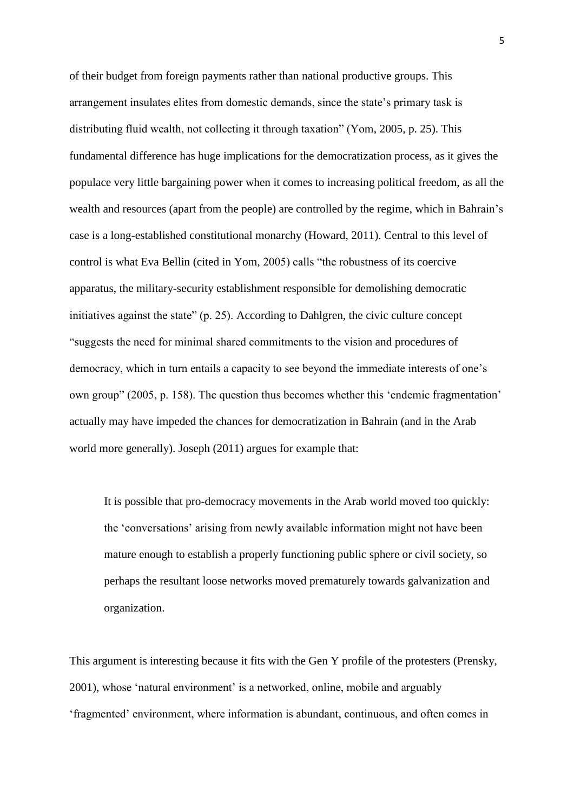of their budget from foreign payments rather than national productive groups. This arrangement insulates elites from domestic demands, since the state"s primary task is distributing fluid wealth, not collecting it through taxation" (Yom, 2005, p. 25). This fundamental difference has huge implications for the democratization process, as it gives the populace very little bargaining power when it comes to increasing political freedom, as all the wealth and resources (apart from the people) are controlled by the regime, which in Bahrain"s case is a long-established constitutional monarchy (Howard, 2011). Central to this level of control is what Eva Bellin (cited in Yom, 2005) calls "the robustness of its coercive apparatus, the military-security establishment responsible for demolishing democratic initiatives against the state" (p. 25). According to Dahlgren, the civic culture concept "suggests the need for minimal shared commitments to the vision and procedures of democracy, which in turn entails a capacity to see beyond the immediate interests of one"s own group" (2005, p. 158). The question thus becomes whether this "endemic fragmentation" actually may have impeded the chances for democratization in Bahrain (and in the Arab world more generally). Joseph (2011) argues for example that:

It is possible that pro-democracy movements in the Arab world moved too quickly: the "conversations" arising from newly available information might not have been mature enough to establish a properly functioning public sphere or civil society, so perhaps the resultant loose networks moved prematurely towards galvanization and organization.

This argument is interesting because it fits with the Gen Y profile of the protesters (Prensky, 2001), whose "natural environment" is a networked, online, mobile and arguably "fragmented" environment, where information is abundant, continuous, and often comes in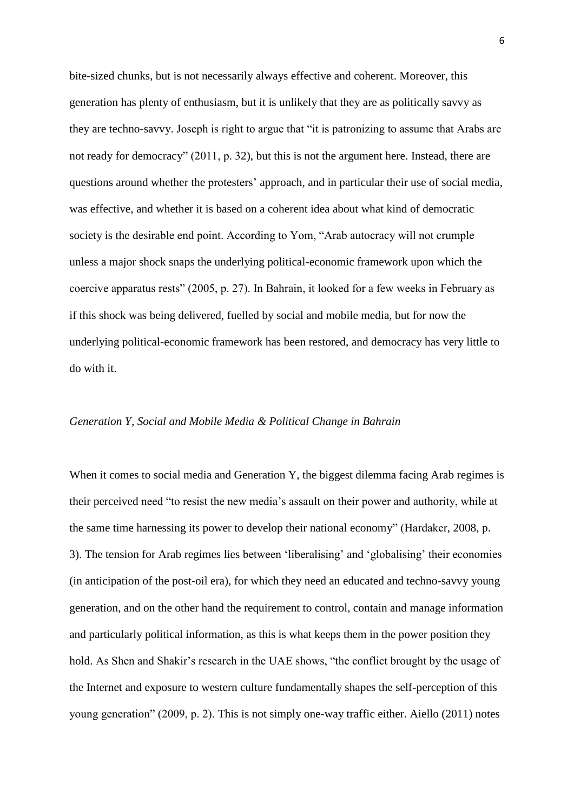bite-sized chunks, but is not necessarily always effective and coherent. Moreover, this generation has plenty of enthusiasm, but it is unlikely that they are as politically savvy as they are techno-savvy. Joseph is right to argue that "it is patronizing to assume that Arabs are not ready for democracy" (2011, p. 32), but this is not the argument here. Instead, there are questions around whether the protesters' approach, and in particular their use of social media, was effective, and whether it is based on a coherent idea about what kind of democratic society is the desirable end point. According to Yom, "Arab autocracy will not crumple unless a major shock snaps the underlying political-economic framework upon which the coercive apparatus rests" (2005, p. 27). In Bahrain, it looked for a few weeks in February as if this shock was being delivered, fuelled by social and mobile media, but for now the underlying political-economic framework has been restored, and democracy has very little to do with it.

#### *Generation Y, Social and Mobile Media & Political Change in Bahrain*

When it comes to social media and Generation Y, the biggest dilemma facing Arab regimes is their perceived need "to resist the new media"s assault on their power and authority, while at the same time harnessing its power to develop their national economy" (Hardaker, 2008, p. 3). The tension for Arab regimes lies between "liberalising" and "globalising" their economies (in anticipation of the post-oil era), for which they need an educated and techno-savvy young generation, and on the other hand the requirement to control, contain and manage information and particularly political information, as this is what keeps them in the power position they hold. As Shen and Shakir's research in the UAE shows, "the conflict brought by the usage of the Internet and exposure to western culture fundamentally shapes the self-perception of this young generation" (2009, p. 2). This is not simply one-way traffic either. Aiello (2011) notes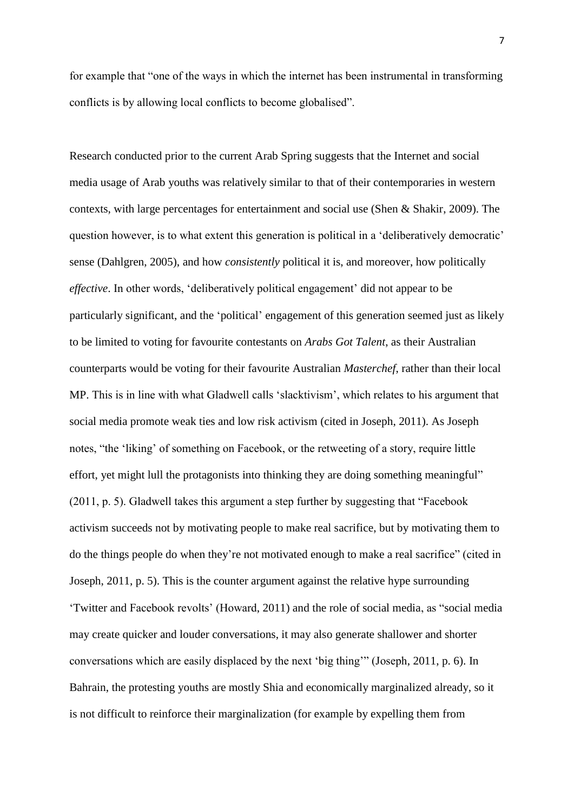for example that "one of the ways in which the internet has been instrumental in transforming conflicts is by allowing local conflicts to become globalised".

Research conducted prior to the current Arab Spring suggests that the Internet and social media usage of Arab youths was relatively similar to that of their contemporaries in western contexts, with large percentages for entertainment and social use (Shen & Shakir, 2009). The question however, is to what extent this generation is political in a 'deliberatively democratic' sense (Dahlgren, 2005), and how *consistently* political it is, and moreover, how politically *effective*. In other words, 'deliberatively political engagement' did not appear to be particularly significant, and the "political" engagement of this generation seemed just as likely to be limited to voting for favourite contestants on *Arabs Got Talent*, as their Australian counterparts would be voting for their favourite Australian *Masterchef*, rather than their local MP. This is in line with what Gladwell calls "slacktivism", which relates to his argument that social media promote weak ties and low risk activism (cited in Joseph, 2011). As Joseph notes, "the "liking" of something on Facebook, or the retweeting of a story, require little effort, yet might lull the protagonists into thinking they are doing something meaningful" (2011, p. 5). Gladwell takes this argument a step further by suggesting that "Facebook activism succeeds not by motivating people to make real sacrifice, but by motivating them to do the things people do when they"re not motivated enough to make a real sacrifice" (cited in Joseph, 2011, p. 5). This is the counter argument against the relative hype surrounding "Twitter and Facebook revolts" (Howard, 2011) and the role of social media, as "social media may create quicker and louder conversations, it may also generate shallower and shorter conversations which are easily displaced by the next "big thing"" (Joseph, 2011, p. 6). In Bahrain, the protesting youths are mostly Shia and economically marginalized already, so it is not difficult to reinforce their marginalization (for example by expelling them from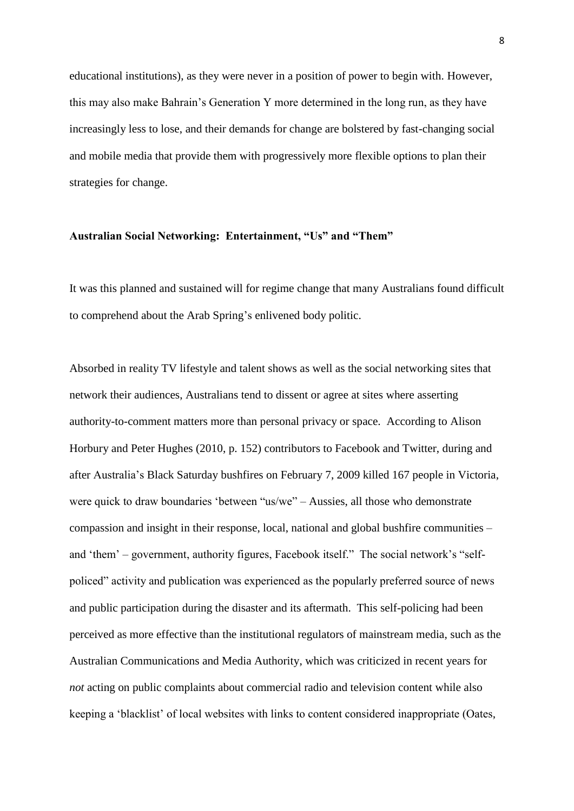educational institutions), as they were never in a position of power to begin with. However, this may also make Bahrain"s Generation Y more determined in the long run, as they have increasingly less to lose, and their demands for change are bolstered by fast-changing social and mobile media that provide them with progressively more flexible options to plan their strategies for change.

#### **Australian Social Networking: Entertainment, "Us" and "Them"**

It was this planned and sustained will for regime change that many Australians found difficult to comprehend about the Arab Spring"s enlivened body politic.

Absorbed in reality TV lifestyle and talent shows as well as the social networking sites that network their audiences, Australians tend to dissent or agree at sites where asserting authority-to-comment matters more than personal privacy or space. According to Alison Horbury and Peter Hughes (2010, p. 152) contributors to Facebook and Twitter, during and after Australia"s Black Saturday bushfires on February 7, 2009 killed 167 people in Victoria, were quick to draw boundaries "between "us/we" – Aussies, all those who demonstrate compassion and insight in their response, local, national and global bushfire communities – and "them" – government, authority figures, Facebook itself." The social network"s "selfpoliced" activity and publication was experienced as the popularly preferred source of news and public participation during the disaster and its aftermath. This self-policing had been perceived as more effective than the institutional regulators of mainstream media, such as the Australian Communications and Media Authority, which was criticized in recent years for *not* acting on public complaints about commercial radio and television content while also keeping a "blacklist" of local websites with links to content considered inappropriate (Oates,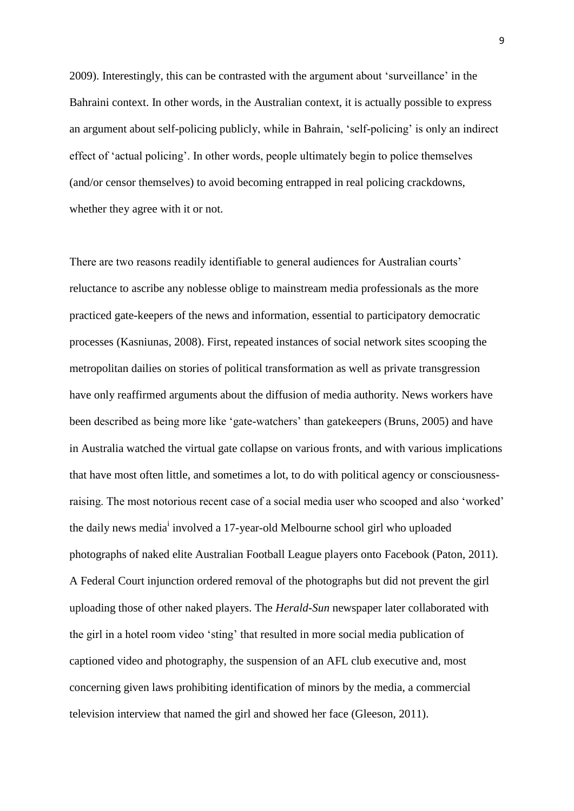2009). Interestingly, this can be contrasted with the argument about "surveillance" in the Bahraini context. In other words, in the Australian context, it is actually possible to express an argument about self-policing publicly, while in Bahrain, "self-policing" is only an indirect effect of "actual policing". In other words, people ultimately begin to police themselves (and/or censor themselves) to avoid becoming entrapped in real policing crackdowns, whether they agree with it or not.

There are two reasons readily identifiable to general audiences for Australian courts' reluctance to ascribe any noblesse oblige to mainstream media professionals as the more practiced gate-keepers of the news and information, essential to participatory democratic processes (Kasniunas, 2008). First, repeated instances of social network sites scooping the metropolitan dailies on stories of political transformation as well as private transgression have only reaffirmed arguments about the diffusion of media authority. News workers have been described as being more like 'gate-watchers' than gatekeepers (Bruns, 2005) and have in Australia watched the virtual gate collapse on various fronts, and with various implications that have most often little, and sometimes a lot, to do with political agency or consciousnessraising. The most notorious recent case of a social media user who scooped and also "worked" the daily news media<sup>i</sup> involved a 17-year-old Melbourne school girl who uploaded photographs of naked elite Australian Football League players onto Facebook (Paton, 2011). A Federal Court injunction ordered removal of the photographs but did not prevent the girl uploading those of other naked players. The *Herald-Sun* newspaper later collaborated with the girl in a hotel room video "sting" that resulted in more social media publication of captioned video and photography, the suspension of an AFL club executive and, most concerning given laws prohibiting identification of minors by the media, a commercial television interview that named the girl and showed her face (Gleeson, 2011).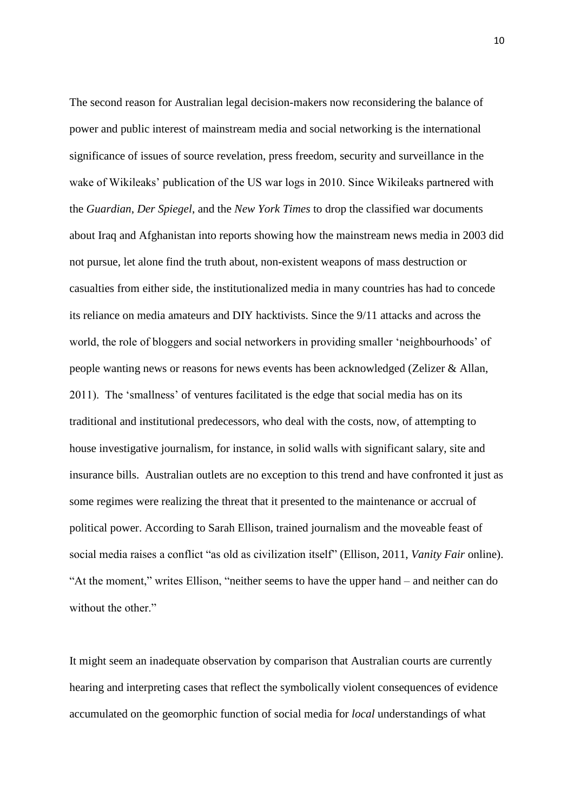The second reason for Australian legal decision-makers now reconsidering the balance of power and public interest of mainstream media and social networking is the international significance of issues of source revelation, press freedom, security and surveillance in the wake of Wikileaks' publication of the US war logs in 2010. Since Wikileaks partnered with the *Guardian*, *Der Spiegel*, and the *New York Times* to drop the classified war documents about Iraq and Afghanistan into reports showing how the mainstream news media in 2003 did not pursue, let alone find the truth about, non-existent weapons of mass destruction or casualties from either side, the institutionalized media in many countries has had to concede its reliance on media amateurs and DIY hacktivists. Since the 9/11 attacks and across the world, the role of bloggers and social networkers in providing smaller "neighbourhoods" of people wanting news or reasons for news events has been acknowledged (Zelizer & Allan, 2011). The "smallness" of ventures facilitated is the edge that social media has on its traditional and institutional predecessors, who deal with the costs, now, of attempting to house investigative journalism, for instance, in solid walls with significant salary, site and insurance bills. Australian outlets are no exception to this trend and have confronted it just as some regimes were realizing the threat that it presented to the maintenance or accrual of political power. According to Sarah Ellison, trained journalism and the moveable feast of social media raises a conflict "as old as civilization itself" (Ellison, 2011, *Vanity Fair* online). "At the moment," writes Ellison, "neither seems to have the upper hand – and neither can do without the other."

It might seem an inadequate observation by comparison that Australian courts are currently hearing and interpreting cases that reflect the symbolically violent consequences of evidence accumulated on the geomorphic function of social media for *local* understandings of what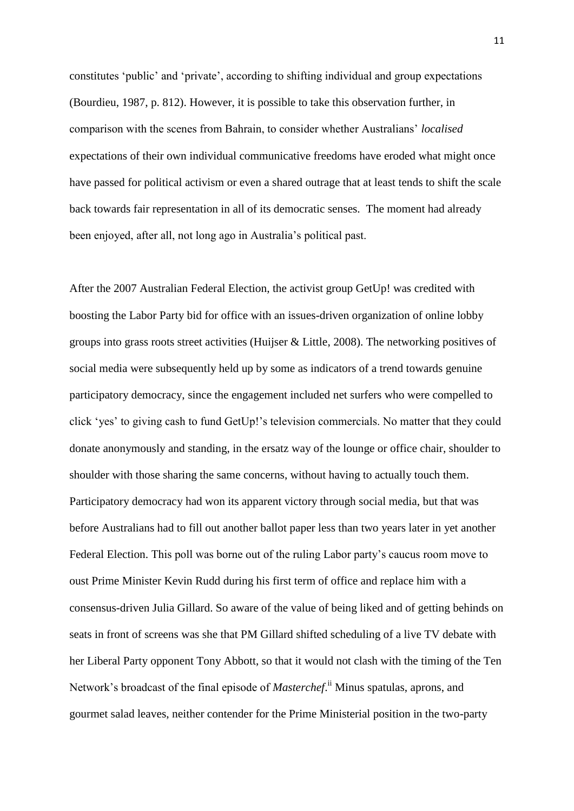constitutes "public" and "private", according to shifting individual and group expectations (Bourdieu, 1987, p. 812). However, it is possible to take this observation further, in comparison with the scenes from Bahrain, to consider whether Australians" *localised* expectations of their own individual communicative freedoms have eroded what might once have passed for political activism or even a shared outrage that at least tends to shift the scale back towards fair representation in all of its democratic senses. The moment had already been enjoyed, after all, not long ago in Australia"s political past.

After the 2007 Australian Federal Election, the activist group GetUp! was credited with boosting the Labor Party bid for office with an issues-driven organization of online lobby groups into grass roots street activities (Huijser & Little, 2008). The networking positives of social media were subsequently held up by some as indicators of a trend towards genuine participatory democracy, since the engagement included net surfers who were compelled to click "yes" to giving cash to fund GetUp!"s television commercials. No matter that they could donate anonymously and standing, in the ersatz way of the lounge or office chair, shoulder to shoulder with those sharing the same concerns, without having to actually touch them. Participatory democracy had won its apparent victory through social media, but that was before Australians had to fill out another ballot paper less than two years later in yet another Federal Election. This poll was borne out of the ruling Labor party's caucus room move to oust Prime Minister Kevin Rudd during his first term of office and replace him with a consensus-driven Julia Gillard. So aware of the value of being liked and of getting behinds on seats in front of screens was she that PM Gillard shifted scheduling of a live TV debate with her Liberal Party opponent Tony Abbott, so that it would not clash with the timing of the Ten Network's broadcast of the final episode of *Masterchef*.<sup>ii</sup> Minus spatulas, aprons, and gourmet salad leaves, neither contender for the Prime Ministerial position in the two-party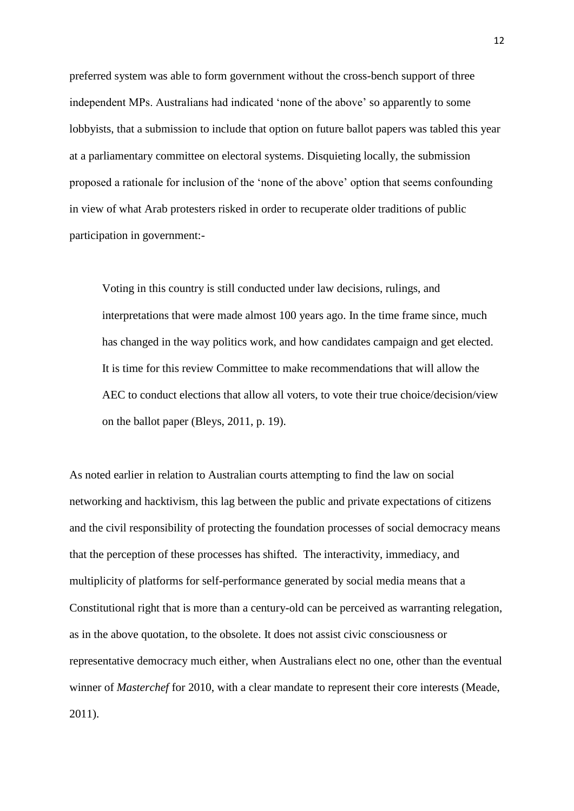preferred system was able to form government without the cross-bench support of three independent MPs. Australians had indicated "none of the above" so apparently to some lobbyists, that a submission to include that option on future ballot papers was tabled this year at a parliamentary committee on electoral systems. Disquieting locally, the submission proposed a rationale for inclusion of the "none of the above" option that seems confounding in view of what Arab protesters risked in order to recuperate older traditions of public participation in government:-

Voting in this country is still conducted under law decisions, rulings, and interpretations that were made almost 100 years ago. In the time frame since, much has changed in the way politics work, and how candidates campaign and get elected. It is time for this review Committee to make recommendations that will allow the AEC to conduct elections that allow all voters, to vote their true choice/decision/view on the ballot paper (Bleys, 2011, p. 19).

As noted earlier in relation to Australian courts attempting to find the law on social networking and hacktivism, this lag between the public and private expectations of citizens and the civil responsibility of protecting the foundation processes of social democracy means that the perception of these processes has shifted. The interactivity, immediacy, and multiplicity of platforms for self-performance generated by social media means that a Constitutional right that is more than a century-old can be perceived as warranting relegation, as in the above quotation, to the obsolete. It does not assist civic consciousness or representative democracy much either, when Australians elect no one, other than the eventual winner of *Masterchef* for 2010, with a clear mandate to represent their core interests (Meade, 2011).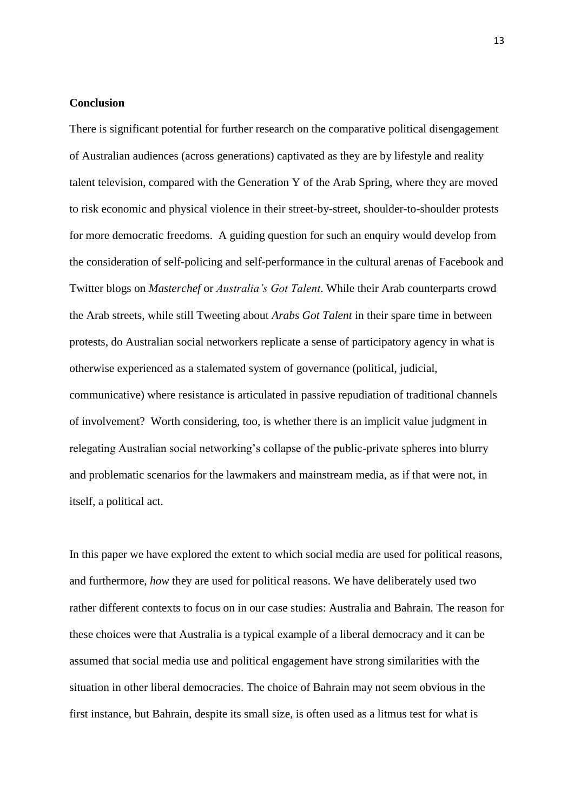#### **Conclusion**

There is significant potential for further research on the comparative political disengagement of Australian audiences (across generations) captivated as they are by lifestyle and reality talent television, compared with the Generation Y of the Arab Spring, where they are moved to risk economic and physical violence in their street-by-street, shoulder-to-shoulder protests for more democratic freedoms. A guiding question for such an enquiry would develop from the consideration of self-policing and self-performance in the cultural arenas of Facebook and Twitter blogs on *Masterchef* or *Australia's Got Talent*. While their Arab counterparts crowd the Arab streets, while still Tweeting about *Arabs Got Talent* in their spare time in between protests, do Australian social networkers replicate a sense of participatory agency in what is otherwise experienced as a stalemated system of governance (political, judicial, communicative) where resistance is articulated in passive repudiation of traditional channels of involvement? Worth considering, too, is whether there is an implicit value judgment in relegating Australian social networking"s collapse of the public-private spheres into blurry and problematic scenarios for the lawmakers and mainstream media, as if that were not, in itself, a political act.

In this paper we have explored the extent to which social media are used for political reasons, and furthermore, *how* they are used for political reasons. We have deliberately used two rather different contexts to focus on in our case studies: Australia and Bahrain. The reason for these choices were that Australia is a typical example of a liberal democracy and it can be assumed that social media use and political engagement have strong similarities with the situation in other liberal democracies. The choice of Bahrain may not seem obvious in the first instance, but Bahrain, despite its small size, is often used as a litmus test for what is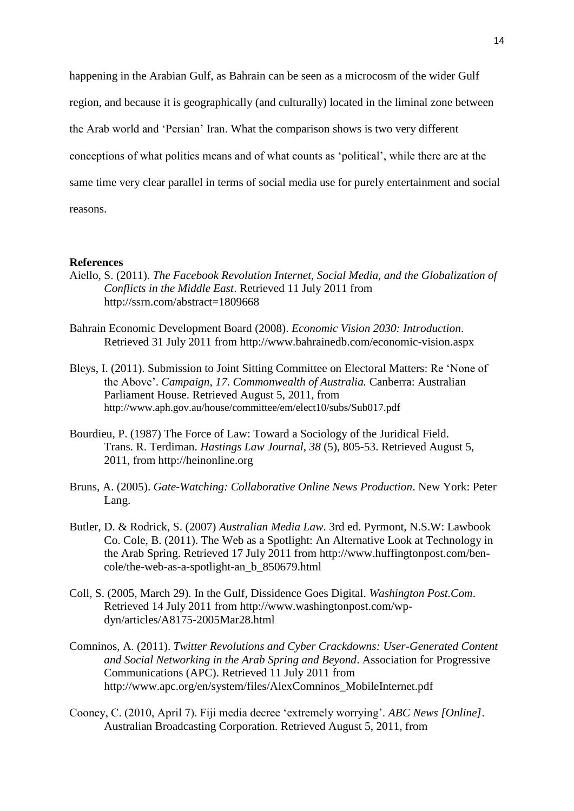happening in the Arabian Gulf, as Bahrain can be seen as a microcosm of the wider Gulf region, and because it is geographically (and culturally) located in the liminal zone between the Arab world and "Persian" Iran. What the comparison shows is two very different conceptions of what politics means and of what counts as "political", while there are at the same time very clear parallel in terms of social media use for purely entertainment and social reasons.

## **References**

- Aiello, S. (2011). *The Facebook Revolution Internet, Social Media, and the Globalization of Conflicts in the Middle East*. Retrieved 11 July 2011 from http://ssrn.com/abstract=1809668
- Bahrain Economic Development Board (2008). *Economic Vision 2030: Introduction*. Retrieved 31 July 2011 from http://www.bahrainedb.com/economic-vision.aspx
- Bleys, I. (2011). Submission to Joint Sitting Committee on Electoral Matters: Re "None of the Above". *Campaign*, *17*. *Commonwealth of Australia.* Canberra: Australian Parliament House. Retrieved August 5, 2011, from http://www.aph.gov.au/house/committee/em/elect10/subs/Sub017.pdf
- Bourdieu, P. (1987) The Force of Law: Toward a Sociology of the Juridical Field. Trans. R. Terdiman. *Hastings Law Journal*, *38* (5), 805-53. Retrieved August 5, 2011, from http://heinonline.org
- Bruns, A. (2005). *Gate-Watching: Collaborative Online News Production*. New York: Peter Lang.
- Butler, D. & Rodrick, S. (2007) *Australian Media Law*. 3rd ed. Pyrmont, N.S.W: Lawbook Co. Cole, B. (2011). The Web as a Spotlight: An Alternative Look at Technology in the Arab Spring. Retrieved 17 July 2011 from http://www.huffingtonpost.com/bencole/the-web-as-a-spotlight-an\_b\_850679.html
- Coll, S. (2005, March 29). In the Gulf, Dissidence Goes Digital. *Washington Post.Com*. Retrieved 14 July 2011 from http://www.washingtonpost.com/wpdyn/articles/A8175-2005Mar28.html
- Comninos, A. (2011). *Twitter Revolutions and Cyber Crackdowns: User-Generated Content and Social Networking in the Arab Spring and Beyond*. Association for Progressive Communications (APC). Retrieved 11 July 2011 from http://www.apc.org/en/system/files/AlexComninos\_MobileInternet.pdf
- Cooney, C. (2010, April 7). Fiji media decree "extremely worrying". *ABC News [Online]*. Australian Broadcasting Corporation. Retrieved August 5, 2011, from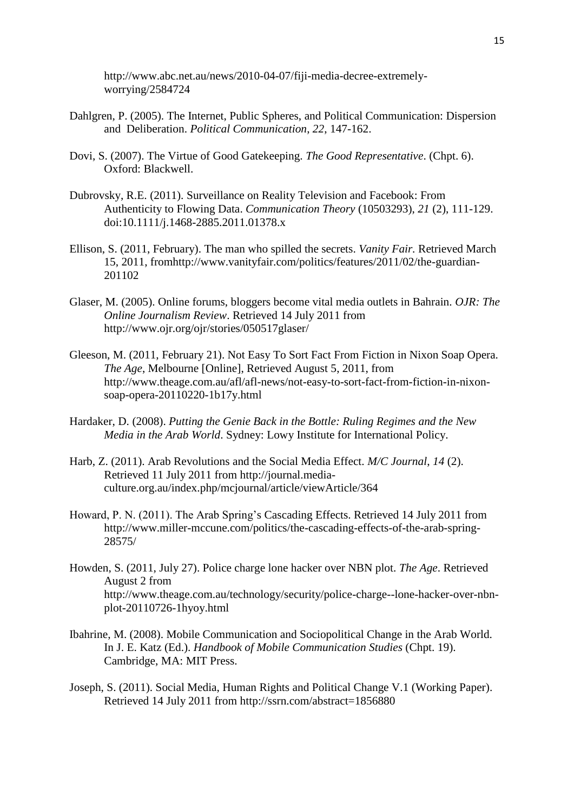http://www.abc.net.au/news/2010-04-07/fiji-media-decree-extremelyworrying/2584724

- Dahlgren, P. (2005). The Internet, Public Spheres, and Political Communication: Dispersion and Deliberation. *Political Communication*, *22*, 147-162.
- Dovi, S. (2007). The Virtue of Good Gatekeeping. *The Good Representative*. (Chpt. 6). Oxford: Blackwell.
- Dubrovsky, R.E. (2011). Surveillance on Reality Television and Facebook: From Authenticity to Flowing Data. *Communication Theory* (10503293), *21* (2), 111-129. doi:10.1111/j.1468-2885.2011.01378.x
- Ellison, S. (2011, February). The man who spilled the secrets. *Vanity Fair.* Retrieved March 15, 2011, fromhttp://www.vanityfair.com/politics/features/2011/02/the-guardian-201102
- Glaser, M. (2005). Online forums, bloggers become vital media outlets in Bahrain. *OJR: The Online Journalism Review*. Retrieved 14 July 2011 from http://www.ojr.org/ojr/stories/050517glaser/
- Gleeson, M. (2011, February 21). Not Easy To Sort Fact From Fiction in Nixon Soap Opera. *The Age*, Melbourne [Online], Retrieved August 5, 2011, from http://www.theage.com.au/afl/afl-news/not-easy-to-sort-fact-from-fiction-in-nixonsoap-opera-20110220-1b17y.html
- Hardaker, D. (2008). *Putting the Genie Back in the Bottle: Ruling Regimes and the New Media in the Arab World*. Sydney: Lowy Institute for International Policy.
- Harb, Z. (2011). Arab Revolutions and the Social Media Effect. *M/C Journal*, *14* (2). Retrieved 11 July 2011 from http://journal.mediaculture.org.au/index.php/mcjournal/article/viewArticle/364
- Howard, P. N. (2011). The Arab Spring"s Cascading Effects. Retrieved 14 July 2011 from http://www.miller-mccune.com/politics/the-cascading-effects-of-the-arab-spring-28575/
- Howden, S. (2011, July 27). Police charge lone hacker over NBN plot. *The Age*. Retrieved August 2 from http://www.theage.com.au/technology/security/police-charge--lone-hacker-over-nbnplot-20110726-1hyoy.html
- Ibahrine, M. (2008). Mobile Communication and Sociopolitical Change in the Arab World. In J. E. Katz (Ed.). *Handbook of Mobile Communication Studies* (Chpt. 19). Cambridge, MA: MIT Press.
- Joseph, S. (2011). Social Media, Human Rights and Political Change V.1 (Working Paper). Retrieved 14 July 2011 from http://ssrn.com/abstract=1856880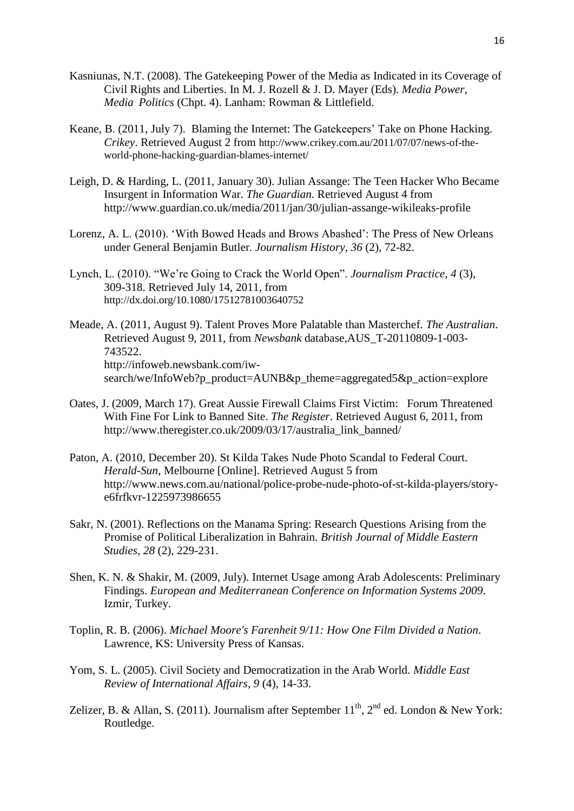- Kasniunas, N.T. (2008). The Gatekeeping Power of the Media as Indicated in its Coverage of Civil Rights and Liberties. In M. J. Rozell & J. D. Mayer (Eds). *Media Power, Media Politics* (Chpt. 4). Lanham: Rowman & Littlefield.
- Keane, B. (2011, July 7). Blaming the Internet: The Gatekeepers' Take on Phone Hacking. *Crikey*. Retrieved August 2 from http://www.crikey.com.au/2011/07/07/news-of-theworld-phone-hacking-guardian-blames-internet/
- Leigh, D. & Harding, L. (2011, January 30). Julian Assange: The Teen Hacker Who Became Insurgent in Information War. *The Guardian.* Retrieved August 4 from http://www.guardian.co.uk/media/2011/jan/30/julian-assange-wikileaks-profile
- Lorenz, A. L. (2010). "With Bowed Heads and Brows Abashed": The Press of New Orleans under General Benjamin Butler. *Journalism History*, *36* (2), 72-82.
- Lynch, L. (2010). "We"re Going to Crack the World Open". *Journalism Practice*, *4* (3), 309-318. Retrieved July 14, 2011, from http://dx.doi.org/10.1080/17512781003640752
- Meade, A. (2011, August 9). Talent Proves More Palatable than Masterchef. *The Australian*. Retrieved August 9, 2011, from *Newsbank* database,AUS\_T-20110809-1-003- 743522. [http://infoweb.newsbank.com/iw](http://infoweb.newsbank.com/iw-)search/we/InfoWeb?p\_product=AUNB&p\_theme=aggregated5&p\_action=explore
- Oates, J. (2009, March 17). Great Aussie Firewall Claims First Victim: Forum Threatened With Fine For Link to Banned Site. *The Register*. Retrieved August 6, 2011, from http://www.theregister.co.uk/2009/03/17/australia\_link\_banned/
- Paton, A. (2010, December 20). St Kilda Takes Nude Photo Scandal to Federal Court. *Herald-Sun*, Melbourne [Online]. Retrieved August 5 from http://www.news.com.au/national/police-probe-nude-photo-of-st-kilda-players/storye6frfkvr-1225973986655
- Sakr, N. (2001). Reflections on the Manama Spring: Research Questions Arising from the Promise of Political Liberalization in Bahrain. *British Journal of Middle Eastern Studies*, *28* (2), 229-231.
- Shen, K. N. & Shakir, M. (2009, July). Internet Usage among Arab Adolescents: Preliminary Findings. *European and Mediterranean Conference on Information Systems 2009*. Izmir, Turkey.
- Toplin, R. B. (2006). *Michael Moore's Farenheit 9/11: How One Film Divided a Nation*. Lawrence, KS: University Press of Kansas.
- Yom, S. L. (2005). Civil Society and Democratization in the Arab World. *Middle East Review of International Affairs*, *9* (4), 14-33.
- Zelizer, B. & Allan, S. (2011). Journalism after September  $11^{th}$ ,  $2^{nd}$  ed. London & New York: Routledge.